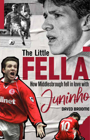# **The Little** How Middlesbrough fell in love with luninho **Ilnet** D BROOME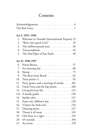### **Contents**

| Acknowledgements 6                                         |  |  |  |  |  |  |  |  |  |
|------------------------------------------------------------|--|--|--|--|--|--|--|--|--|
| The Red Army $\ldots \ldots \ldots \ldots \ldots \ldots 7$ |  |  |  |  |  |  |  |  |  |

#### **Act I: 1995–1996**

| 1. Welcome to Teesside (International Airport) 13      |  |
|--------------------------------------------------------|--|
| 2. 'Wow, how good is he?' $\dots \dots \dots \dots$ 25 |  |
| 3. The million-pound man 36                            |  |
| 4. Transcendental 43                                   |  |
| 5. The Pied Piper of São Paulo 49                      |  |

#### **Act II: 1996-1997**

| 6.  | Penna Bianca $\ldots \ldots \ldots \ldots \ldots 57$          |
|-----|---------------------------------------------------------------|
| 7.  | An amazing day 68                                             |
| 8.  |                                                               |
| 9.  | The Boys from Brazil 82                                       |
| 10. |                                                               |
| 11. | Party games and a meeting of minds. 101                       |
| 12. | Uncle Festa and the big Aussie. 106                           |
| 13  | Living his best life $\ldots \ldots \ldots \ldots \ldots 113$ |
|     | 13a A handy guide 120                                         |
| 14. | Spoiler alert 121                                             |
| 15. | Same city, different day 128                                  |
| 16. | 'Clatter the little sod'. 133                                 |
| 17. | Dancing pixies137                                             |
| 18. | Throw it all away $\ldots \ldots \ldots \ldots 145$           |
| 19. | One hour as a tiger. $\ldots \ldots \ldots \ldots 153$        |
| 20. | $43$ seconds 160                                              |
| 21. | Au revoir. 170                                                |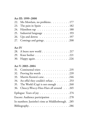#### **Act III: 1999–2000**

| 22. Mo Mowlam, no problems. 177                            |
|------------------------------------------------------------|
| 23. The pain in Spain 182                                  |
| 24. Hámilton rap 188                                       |
| 25. Industrial language $\ldots \ldots \ldots \ldots 193$  |
| 26. Ups and downs $\ldots \ldots \ldots \ldots \ldots 197$ |
| 27. Comings and goings 208                                 |

#### **Act IV**

| 28. A brave new world 217 |  |
|---------------------------|--|
| 29. Knee bother 221       |  |
| 30. Happy again226        |  |

#### **Act V: 2003–2004**

| 31. Continental triers $\ldots \ldots \ldots \ldots \ldots$ . 235 |  |
|-------------------------------------------------------------------|--|
| 32. Proving his worth 239                                         |  |
| 33. Martin Keown's arse246                                        |  |
| 34. An offal they couldn't refuse 253                             |  |
| 35. The World (Cup) is not enough 260                             |  |
| 36. Choccy-Woccy-Hoo-Hars all around 265                          |  |
| Epilogue: Tears of joy 274                                        |  |
| Encore: Audience participation 278                                |  |
| In numbers: Juninho's time at Middlesbrough. .285                 |  |
|                                                                   |  |
|                                                                   |  |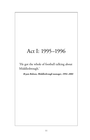# Act I: 1995–1996

'He got the whole of football talking about Middlesbrough.'

*Bryan Robson, Middlesbrough manager, 1994***–***2001*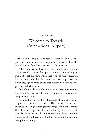#### Chapter One

## Welcome to Teesside (International Airport)

THERE MAY have been no record scratch to delineate the prologue from this opening chapter, but we will still hit the rewind button, from February 2004 to October 1995.

A lot happened in those intervening nine years, a period that ranks if not top, then pretty bloody close, of any in Middlesbrough's history. We reached four cup finals, qualified for Europe for the first time, won our first proper piece of silverware, signed some of the best players in the world, and got relegated with them.

One of those players is about to descend the aeroplane stairs (I just Googled that, sure they must have a better name, but no, aeroplane stairs it is).

As Juninho is greeted by thousands of fans at Teesside Airport, and later at the BT Cellnet Riverside Stadium, he looks overawed, wearing a suit slightly too large for his petite frame. He's like a work experience kid on his first day of placement – if that placement had hired a samba band to welcome him and thousands of employees were holding pictures of his face and asking for his autograph.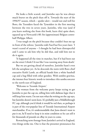He looks a little scared, and Juninho says he was always much braver on the pitch than off it. Towards the start of the 1996/97 season, which – spoiler alert – would not end well for Boro, the Teessiders faced the Tynesiders in the first meeting between the two in seven years. Juninho, who was (and if you learn nothing else from this book, learn this) quite short, squared up to Newcastle's 8ft 3in (approximate) Belgian centrehalf Philippe Albert.

'I was tough on the pitch because they couldn't beat me up in front of the referee,' Juninho told *FourFourTwo* years later. 'I wasn't scared of anyone – I thought he had been disrespectful and I came to ask him why he did that, and told him not to do it again.

'It happened all the time in matches, but if it had been out on the street I think I'd run like I was running away from death.'

But we are getting ahead of ourselves. Juninho hasn't even left the aeroplane yet. As he descends the stairs with Boro chief executive Keith Lamb, an official hands him a white baseball cap and a bag filled with other goodies. With sombre gravitas, she intones four historic words to introduce this samba sorcerer to the north-east of England.

'Welcome to Teesside Airport.'

The woman from the welcome party keeps trying to get Juninho to put the cap on, telling him with dubious logic that it will keep him warm. I'm not sure what the writing on the cap says, but Juninho doesn't seem keen. It's probably just a Middlesbrough FC cap, although you'd think it would be red then, so perhaps it is part of the ever-popular line of Teesside International Airport merchandise. If so, it's understandable that Juno doesn't want to put it on, he'll need to keep it in mint condition so he can sell it for thousands of pounds on eBay in years to come.

Rewatching news footage from Juninho's arrival in England, two things strike me. One is that the presenter pronounces his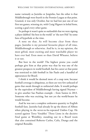name variously as Juzinho or Jorginho, but the other is that Middlesbrough were fourth in the Premier League at that point. Granted, it was only October, but we had lost just one of our first ten games, winning six, with Craig Hignett in lethal form, scoring a goal every other game.

So perhaps it wasn't quite so outlandish that we were signing a player dubbed 'the best in the world' or 'the new Pelé' by some fans of hyperbole at the time.

A note on that. As will become clear from these pages, Juninho is my personal favourite player of all time, Middlesbrough or otherwise. And he is, in my opinion, the most gifted, most exciting and most watchable player we have ever had. Even more so than David Wheater, believe it or not.

But best in the world? The highest praise you could perhaps give him at that point was that he was one of the greatest prospects in world football, but his career at that point was restricted to club football in São Paulo and a handful of appearances for Brazil.

I think it would be deemed more of a coup now, because football coverage is ubiquitous, so there are very few unheard-of gems that sneak through to unfancied clubs. It would perhaps be the equivalent of Middlesbrough having signed Neymar – to give another Sao Paulian example – from Santos in 2013. Someone who was exciting, but not yet the world-beater he would become.

And he was not a complete unknown quantity to English football fans. Juninho had already lit up the shores of Albion when playing in the never-to-be-repeated Umbro Cup. He scored against Terry Venables' Three Lions in the decisive final game at Wembley, standing out in a Brazil team that also contained Roberto Carlos, Cafu, Dunga and the original Ronaldo.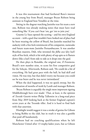It was this tournament that had furthered Boro's interest in the young boy from Brazil, manager Bryan Robson being assistant to England boss Venables at the time.

Sitting in the dugout watching Juninho tear his team a new one, Robson was already making notes that must have read something like 'if you can't beat 'em, get 'em to join you'.

Graeme Le Saux opened the scoring – and his own England account – with a goal that wouldn't have looked out of place had he been wearing the yellow of Brazil, but Juninho matched his audacity with a free kick reminiscent of his compatriot, namesake and future team-mate Juninho Pernambucano. It was another Brazilian maestro, Didi, who invented the *folha seca* (dry leaf) style of free kick, which is hit with plenty of top-spin so it flutters down (like a leaf) from side to side as it drops into the goal.

He then plays in Ronaldo, the original one, *Il Fenomeno*, Brazil's new number nine, to score his first competitive goal for the Seleção. Afterwards, Robson said, 'He could do a bit of everything. He had great pace with the ball, he had skill and vision. He was tiny, but that didn't worry me because you could see he was brave and he was never intimidated.'

When the deal happened, it was no quick swoop, but the culmination of months of work by Lamb and manager Robson.

'Bryan Robson is arguably the single most important signing Middlesbrough have ever made.' That, at least, is the opinion of *Teesside Gazette* writer Philip Tallentire in a long-read piece from May 2019 looking back at the former England captain's seven years at the Teesside tiller. And it is hard to find fault with that assertion.

Hindsight would suggest it was a stroke of genius for Gibson to bring Robbo to the club, but in truth it was also a gamble that paid off handsomely.

Robson had no coaching qualifications when he left Manchester United after 13 trophy-laden years, but as Gibson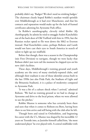probably didn't say, 'Badges? We don't need no stinking badges.' The chairman clearly hoped Robbo's stardust would sprinkle over Middlesbrough as it had over Manchester, and that his contacts and reputation would make up for the lack of framed certificates adorning his Ayresome Park office.

In Robbo's autobiography, cleverly titled *Robbo: My Autobiography*, he admits he tried to smuggle Andrei Kanchelskis out of the back door of Old Trafford with him in 1994, but the Russian rocket opted to flit west down the M62 to Everton instead. Had Kanchelskis come, perhaps Robson and Lamb would not have cast their eyes to South America in search of talent to light up our midfield.

Before that though, there was a season in the Championship (née First Division) to navigate, though we were lucky that Robson didn't just turn tail the moment he clapped eyes on his new club's facilities.

These days, Middlesbrough's training ground and youth academy are the envy of many similarly-reputed clubs, and although their stadium is one of those identikit arenas built in the late 1990s (see also Pride Park, the Stadium of Light and the Britannia Stadium), it is a palace of modernity compared to Ayresome Park.

'It was a bit of a culture shock when I arrived,' admitted Robson. 'We had no training ground so we had to change at Ayresome and drive to the local prison, where we were allowed to use the pitches.'

Robbie Mustoe is someone who has certainly been there and seen that when it comes to Robson-era Boro, having been there to see him arrive and still being with the club after he left.

Though born and raised in Oxfordshire, and beginning his career with the U's, Mustoe was shaped by his incredible 12 years on Teesside into, as Juninho himself called him, 'the most underrated player' he ever played with. A central midfielder with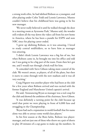a strong work ethic, he had idolised Robson as a youngster, and after playing under Colin Todd and Lennie Lawrence, Mustoe couldn't believe that his childhood hero was going to be his new manager.

'We never really believed it until he walked through the door in a meeting room at Ayresome Park,' Mustoe said, the wonder still evident all the way down the video call from his new home in America, where he has been a pundit for ESPN and now NBC since his playing career ended.

'I grew up idolising Robson, so it was amazing. I loved to study central midfielders, so to have him as manager was amazing.

'I didn't think Lennie Lawrence was a big fan of me, but when Robson came in, he brought me into his office and told me I was going to be a big part of the team. From then he's got me, and I would run through a brick wall for him.

'It coincided with Steve Gibson taking more control of the club. We weren't aware, as players, of all of the plans, but then it starts to come through with the new stadium and it was all very exciting.'

Craig Hignett was another player who had been at the club for a few years when Robson arrived and was excited with the former England and Manchester United captain's arrival.

He said, 'Announcing Bryan as manager was a real coup for the club and showed the ambition of the chairman, Steve Gibson.

'It was definitely a turning point for the club because up until that point we were playing in front of 6,000 fans and struggling in the Championship.

'Bryan had such a reputation in world football that his name alone was able to attract some world-class players.'

In his first season at the Boro helm, Robson was playermanager, and not just one of those who threw on a pair of shorts to play 20 minutes of a cup game to make up the numbers. In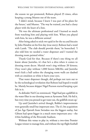the season we got promoted, Robson played 25 times, often keeping a young Mustoe out of the team.

'I didn't mind, because I knew I was part of his plans for the future,' said Mustoe. 'The way he trained, you had a classy player with the heart of a lion.

'He was the ultimate professional and I learned so much from watching him and playing with him. When you played with him, he was a different animal.'

After being asked to stick two quid in for the tea and biscuits by John Hendrie on his first day (true story), Robson had a word with Lamb. 'The club should provide them,' he beseeched. 'I also told him we needed a water dispenser and I wanted the dressing room painted white.'

Thank God for that. Because if there's one thing we all know about Juninho, it's that he's a diva when it comes to dressing room decor. Mariah won't sing without 20 kittens; Ozzy won't play without 1,000 brown M&Ms; and Juninho won't kick a ball unless the changing room walls are daubed with an emulsion so white it hurts your eyes.

That water dispenser though, did perhaps not turn out to be the technological revolution that Robson had hoped it would be. Mainly because skipper Nigel Pearson started keeping a pet fish in it.

As defender Neil Cox reminisced, 'Nigel had put a goldfish in the water filter in our dressing room at Ayresome Park. He fed it, but every time you pressed to get water out, the goldfish swam up.'

Up until Juninho's arrival though, Robbo's improvements were generally small but important ones. The £1.3m acquisition of Jan Åge Fjørtoft from Swindon was the biggest outlay, but Gibson had spent bigger in a much more important area – the £16m building of the Riverside Stadium.

Without this venue to play in, without a two-time Premier League winner to manage him, and without the top-flight football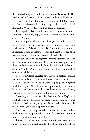that Robson brought, it is unlikely Juninho would ever have had his head turned to face the chilly north-east winds of Middlesbrough.

'He got the whole of football talking about Middlesbrough,' said Robson, who was told during that game between Brazil and England at Wembley that Juninho could be available.

Lamb quaintly faxed São Paulo to see if they were interested, but received a 'stroppy' reply (at least as stroppy as a fax machine can be) – 'nunca'.

But Boro persisted, enlisting 'the agent, an Italian guy' to help and, after many more faxes winged their way back and forth across the Atlantic Ocean, São Paulo said they might be interested. Quick as a flash, Robson and Lamb grabbed their passports from their sock drawers and jetted to Brazil.

Five days of laborious negotiations were surely made easier by numerous caipirinhas and the joy of not having to spend their whole summer in Middlesbrough, and finally a deal was done for \$7m (£4.75m in those heady days when the pound had some strength left in it).

Years later, Gibson revealed how the whole deal for Juninho had almost collapsed in the most bizarre circumstances.

A local businessman issued a winding-up petition against Middlesbrough FC in a dispute over sponsorship rights, which led to a court date and the club's bank accounts being frozen, just as negotiations with Juninho hit a critical point.

Speaking in an interview for *England, Their England,* a book chronicling the history of every overseas-born footballer to have blessed the English game, Gibson said, 'Immediately that happens you have to appear in court.

'But that court thing can take 14 days and in that 14 days the banks have no option other than to freeze your accounts. It nearly stopped us signing Juninho.'

Luckily, a blowtorch was taken to the frozen assets just in time to complete the deal. And the Brazil trip could have been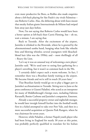even more productive for Boro, as Robbo also made enquiries about a left-back playing for São Paulo's city rivals Palmeiras – one Roberto Carlos. Alas, the dithering about with faxes meant that sneaky Italian giants Internazionale de Milano had swiped him away just days before.

Now, I'm not saying that Roberto Carlos would have been a better option at left-back than Curtis Fleming, but – oh no, wait a minute, I am saying that.

Back to Teesside. After the excitement of the airport, Juninho is whisked to the Riverside, where he is greeted by the aforementioned samba band, banging what look like wheelie bins and blowing whistles; several youngsters with bleachedblond hair (this was the 1990s); and – most thrillingly of all – Roary the Lion.

'Let's say it was an unusual way of welcoming a new player,' Juninho said. 'We're used now to seeing fans gathering for a player's unveiling, but it wasn't so common back in the 90s.

'I certainly didn't expect such a warm welcome. In fact, I remember there was a Brazilian family waiting at the airport. We became friends and we're still in touch 20 years later.'

That Brazilian family would go on to play a bigger part in Juninho's acclimatisation to Teesside. Sitting next to Juno at the press conference is Gianni Paladini, who acted as an interpreter for many of Middlesbrough's foreign stars, including Fabrizio Ravanelli, Benito Carbone and Juninho's compatriot, Emerson.

Already a successful property owner and nightclub-monger, he would later inveigle himself further into the football world, first in a failed attempted to take over Port Vale, and then in a more successful acquisition at Queens Park Rangers, where he was chairman for seven years.

However, while Paladini, a former Napoli youth player who had been living in England for nearly 30 years at this point, was probably perfectly qualified to translate for his Italian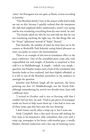'amici', his Portuguese was not quite as fluent, at least according to Juninho.

'That Brazilian family I met at the airport really had to help me out on this, because I quickly realised that the interpreter the club had employed didn't understand a word I was saying and he was translating everything from his own mind,' he said.

'The family asked me who he was and told me that he was not translating anything the right way. He did things like ask for "faisao" [pheasant] instead of "feijão" [beans].'

Poor Juninho, the number of times he must have sat in the canteen at Rockcliffe Park forlornly eating baked pheasant on toast, too polite to correct the mistranslation.

There is an example of this lost-in-translation effect at the press conference. One of the assembled press corps asks with unparalleled wit and insight, if Juninho is surprised at how cold it is in Middlesbrough. A simple – indeed, very simple – question, but Paladini makes such a hash of the translation that Juninho looks at first confused, and then slightly offended, so it is left to one of the Brazilian journalists in the audience to untangle the question.

Juninho and Robson laugh off the question, the latter pointing out that 'it's Middlesbrough, not the North Pole', although remembering his arrival two decades later, Juno told a different story.

'I arrived in October and it was so freezing cold that I couldn't feel my feet,' he said. 'I had to put pieces of newspaper inside my boots to help warm them up. I also had to wear one of those ninja caps that leave just the eyes showing.'

I don't know exactly what a ninja cap is, but I want one.

Andy Campbell, then a doe-eyed 16-year-old making his first steps at his hometown club, remembers that even with a ninja cap, newspaper in his boots, cold-weather gear, a woolly blanket, thermal underwear and a hot cup of steaming cocoa,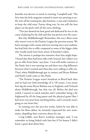Juninho was electric to watch in training. Campbell said, 'The first time the little magician trained in snow was amazing to see. He wore all his training kit, plus bottoms, a coat and a balaclava to keep the cold away. Funny thing was, he was still the best player on the pitch with all the extra clothing.

'This just showed me how good and dedicated he was to the cause of playing for the club and that was proven over the years.'

But why Middlesbrough? Remember, this was a Boro team who weren't even in the Premier League the previous season. We had a manager with a name and were moving into a new stadium, but had little else to offer compared to some of the bigger clubs who would surely have been aware of Juninho's talent.

The answer is perhaps less romantic than fans might hope. 'I heard that there had been talks with Arsenal, but I didn't ever get an offer from them,' says Juno. 'I was still under contract at São Paulo, but it was running out and there was a big difference between what I wanted and what they were willing to offer me. That's when Middlesbrough got in contact and Bryan Robson and Keith Lamb came to São Paulo.

'The Premier League wasn't broadcast in Brazil back then and we had very little knowledge of it. Of course, I was aware how big the name Bryan Robson was in England, and I'd heard about Middlesbrough, but that was all. Before the deal was sealed, I started to watch matches and I remember being a bit frightened by all the long passes and the physical game! But I had never run away from anything before, and I certainly wasn't going to run from this.'

In training over the next few weeks, before he was able to make his Boro debut, he instantly impressed his new teammates, dispelling their concerns about his size.

Craig Liddle, now Boro's academy manager, said, 'I can remember us being linked with him but if I'm honest I didn't know a great deal about him.